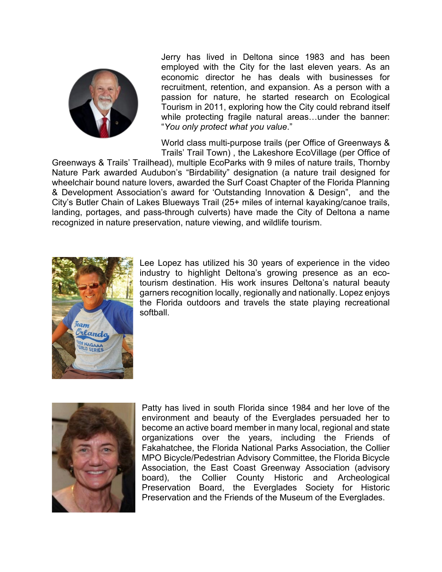

Jerry has lived in Deltona since 1983 and has been employed with the City for the last eleven years. As an economic director he has deals with businesses for recruitment, retention, and expansion. As a person with a passion for nature, he started research on Ecological Tourism in 2011, exploring how the City could rebrand itself while protecting fragile natural areas…under the banner: "*You only protect what you value*."

World class multi-purpose trails (per Office of Greenways & Trails' Trail Town) , the Lakeshore EcoVillage (per Office of

Greenways & Trails' Trailhead), multiple EcoParks with 9 miles of nature trails, Thornby Nature Park awarded Audubon's "Birdability" designation (a nature trail designed for wheelchair bound nature lovers, awarded the Surf Coast Chapter of the Florida Planning & Development Association's award for 'Outstanding Innovation & Design", and the City's Butler Chain of Lakes Blueways Trail (25+ miles of internal kayaking/canoe trails, landing, portages, and pass-through culverts) have made the City of Deltona a name recognized in nature preservation, nature viewing, and wildlife tourism.



Lee Lopez has utilized his 30 years of experience in the video industry to highlight Deltona's growing presence as an ecotourism destination. His work insures Deltona's natural beauty garners recognition locally, regionally and nationally. Lopez enjoys the Florida outdoors and travels the state playing recreational softball.



Patty has lived in south Florida since 1984 and her love of the environment and beauty of the Everglades persuaded her to become an active board member in many local, regional and state organizations over the years, including the Friends of Fakahatchee, the Florida National Parks Association, the Collier MPO Bicycle/Pedestrian Advisory Committee, the Florida Bicycle Association, the East Coast Greenway Association (advisory board), the Collier County Historic and Archeological Preservation Board, the Everglades Society for Historic Preservation and the Friends of the Museum of the Everglades.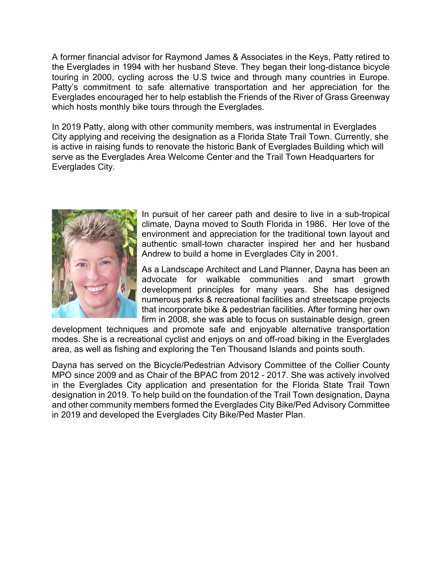A former financial advisor for Raymond James & Associates in the Keys, Patty retired to the Everglades in 1994 with her husband Steve. They began their long-distance bicycle touring in 2000, cycling across the U.S twice and through many countries in Europe. Patty's commitment to safe alternative transportation and her appreciation for the Everglades encouraged her to help establish the Friends of the River of Grass Greenway which hosts monthly bike tours through the Everglades.

In 2019 Patty, along with other community members, was instrumental in Everglades City applying and receiving the designation as a Florida State Trail Town. Currently, she is active in raising funds to renovate the historic Bank of Everglades Building which will serve as the Everglades Area Welcome Center and the Trail Town Headquarters for Everglades City.



In pursuit of her career path and desire to live in a sub-tropical climate, Dayna moved to South Florida in 1986. Her love of the environment and appreciation for the traditional town layout and authentic small-town character inspired her and her husband Andrew to build a home in Everglades City in 2001.

As a Landscape Architect and Land Planner, Dayna has been an advocate for walkable communities and smart growth development principles for many years. She has designed numerous parks & recreational facilities and streetscape projects that incorporate bike & pedestrian facilities. After forming her own firm in 2008, she was able to focus on sustainable design, green

development techniques and promote safe and enjoyable alternative transportation modes. She is a recreational cyclist and enjoys on and off-road biking in the Everglades area, as well as fishing and exploring the Ten Thousand Islands and points south.

Dayna has served on the Bicycle/Pedestrian Advisory Committee of the Collier County MPO since 2009 and as Chair of the BPAC from 2012 - 2017. She was actively involved in the Everglades City application and presentation for the Florida State Trail Town designation in 2019. To help build on the foundation of the Trail Town designation, Dayna and other community members formed the Everglades City Bike/Ped Advisory Committee in 2019 and developed the Everglades City Bike/Ped Master Plan.